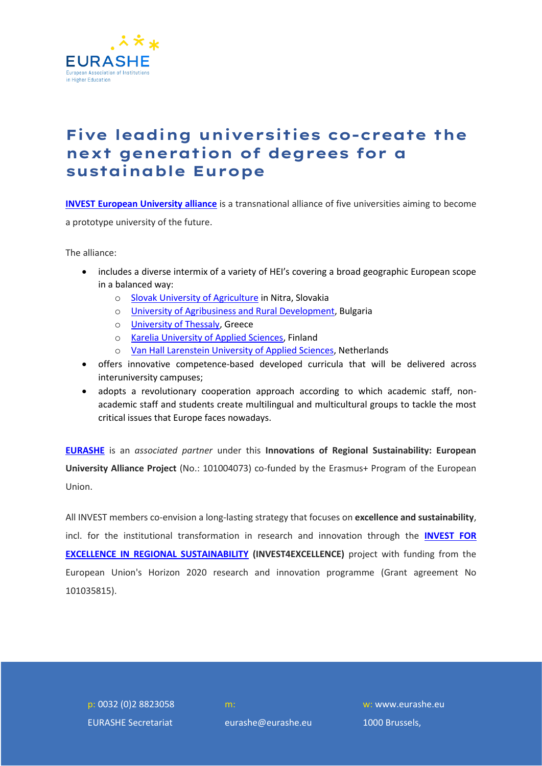

## **Five leading universities co-create the next generation of degrees for a sustainable Europe**

**[INVEST European University alliance](https://www.invest-alliance.eu/)** is a transnational alliance of five universities aiming to become a prototype university of the future.

The alliance:

- includes a diverse intermix of a variety of HEI's covering a broad geographic European scope in a balanced way:
	- o [Slovak University of Agriculture](https://www.uniag.sk/) in Nitra, Slovakia
	- o [University of Agribusiness and Rural Development,](http://uard.bg/) Bulgaria
	- o [University of Thessaly,](http://old.uth.gr/en/) Greece
	- o [Karelia University of Applied Sciences,](https://karelia.fi/en/front-page/) Finland
	- o [Van Hall Larenstein University of Applied Sciences,](https://www.vhluniversity.com/study) Netherlands
- offers innovative competence-based developed curricula that will be delivered across interuniversity campuses;
- adopts a revolutionary cooperation approach according to which academic staff, nonacademic staff and students create multilingual and multicultural groups to tackle the most critical issues that Europe faces nowadays.

**[EURASHE](https://www.eurashe.eu/)** is an *associated partner* under this **Innovations of Regional Sustainability: European University Alliance Project** (No.: 101004073) co-funded by the Erasmus+ Program of the European Union.

All INVEST members co-envision a long-lasting strategy that focuses on **excellence and sustainability**, incl. for the institutional transformation in research and innovation through the **[INVEST FOR](https://www.invest4excellence.eu/)  [EXCELLENCE IN REGIONAL SUSTAINABILITY](https://www.invest4excellence.eu/) (INVEST4EXCELLENCE)** project with funding from the European Union's Horizon 2020 research and innovation programme (Grant agreement No 101035815).

p: 0032 (0)2 8823058 EURASHE Secretariat

eurashe@eurashe.eu

w: www.eurashe.eu 1000 Brussels,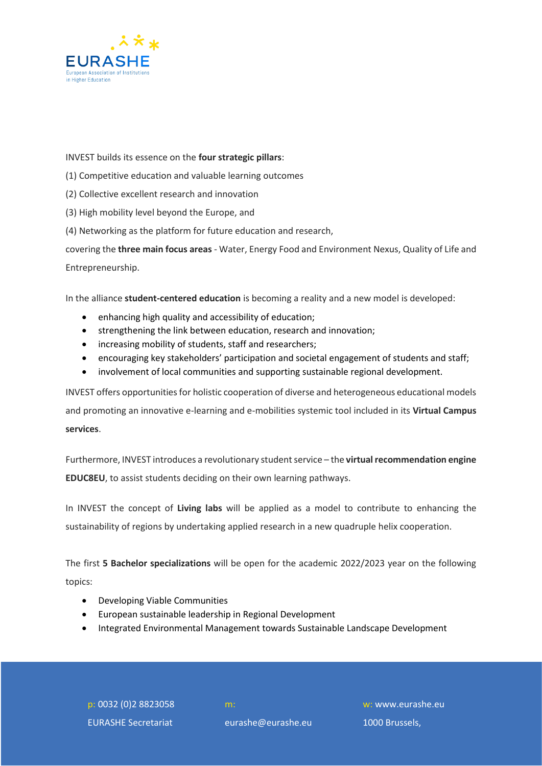

INVEST builds its essence on the **four strategic pillars**:

- (1) Competitive education and valuable learning outcomes
- (2) Collective excellent research and innovation
- (3) High mobility level beyond the Europe, and
- (4) Networking as the platform for future education and research,

covering the **three main focus areas** - Water, Energy Food and Environment Nexus, Quality of Life and Entrepreneurship.

In the alliance **student-centered education** is becoming a reality and a new model is developed:

- enhancing high quality and accessibility of education;
- strengthening the link between education, research and innovation;
- increasing mobility of students, staff and researchers;
- encouraging key stakeholders' participation and societal engagement of students and staff;
- involvement of local communities and supporting sustainable regional development.

INVEST offers opportunities for holistic cooperation of diverse and heterogeneous educational models and promoting an innovative e-learning and e-mobilities systemic tool included in its **Virtual Campus services**.

Furthermore, INVEST introduces a revolutionary student service – the **virtual recommendation engine EDUC8EU**, to assist students deciding on their own learning pathways.

In INVEST the concept of **Living labs** will be applied as a model to contribute to enhancing the sustainability of regions by undertaking applied research in a new quadruple helix cooperation.

The first **5 Bachelor specializations** will be open for the academic 2022/2023 year on the following topics:

- Developing Viable Communities
- European sustainable leadership in Regional Development
- Integrated Environmental Management towards Sustainable Landscape Development

p: 0032 (0)2 8823058 EURASHE Secretariat

eurashe@eurashe.eu

w: www.eurashe.eu 1000 Brussels,